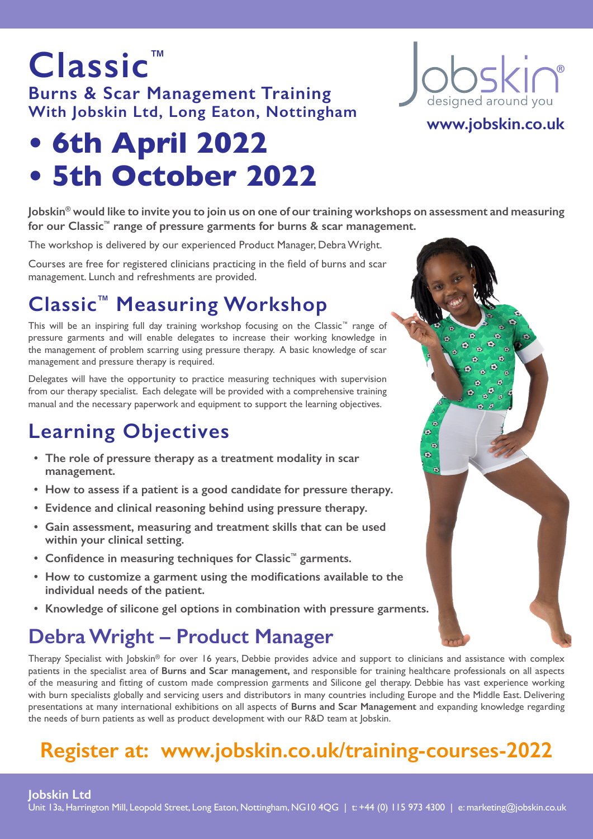### **Burns & Scar Management Training With Jobskin Ltd, Long Eaton, Nottingham**

# **• 6th April 2022 • 5th October 2022**

**Classic™**

**Jobskin® would like to invite you to join us on one of our training workshops on assessment and measuring for our Classic™ range of pressure garments for burns & scar management.** 

The workshop is delivered by our experienced Product Manager, Debra Wright.

Courses are free for registered clinicians practicing in the field of burns and scar management. Lunch and refreshments are provided.

## **Classic™ Measuring Workshop**

This will be an inspiring full day training workshop focusing on the Classic™ range of pressure garments and will enable delegates to increase their working knowledge in the management of problem scarring using pressure therapy. A basic knowledge of scar management and pressure therapy is required.

Delegates will have the opportunity to practice measuring techniques with supervision from our therapy specialist. Each delegate will be provided with a comprehensive training manual and the necessary paperwork and equipment to support the learning objectives.

## **Learning Objectives**

- **• The role of pressure therapy as a treatment modality in scar management.**
- **• How to assess if a patient is a good candidate for pressure therapy.**
- **• Evidence and clinical reasoning behind using pressure therapy.**
- **• Gain assessment, measuring and treatment skills that can be used within your clinical setting.**
- **• Confidence in measuring techniques for Classic™ garments.**
- **• How to customize a garment using the modifications available to the individual needs of the patient.**
- **• Knowledge of silicone gel options in combination with pressure garments.**

## **Debra Wright – Product Manager**

Therapy Specialist with Jobskin® for over 16 years, Debbie provides advice and support to clinicians and assistance with complex patients in the specialist area of **Burns and Scar management,** and responsible for training healthcare professionals on all aspects of the measuring and fitting of custom made compression garments and Silicone gel therapy. Debbie has vast experience working with burn specialists globally and servicing users and distributors in many countries including Europe and the Middle East. Delivering presentations at many international exhibitions on all aspects of **Burns and Scar Management** and expanding knowledge regarding the needs of burn patients as well as product development with our R&D team at Jobskin.

## **Register at: www.jobskin.co.uk/training-courses-2022**

oskin® designed around

### **www.jobskin.co.uk**